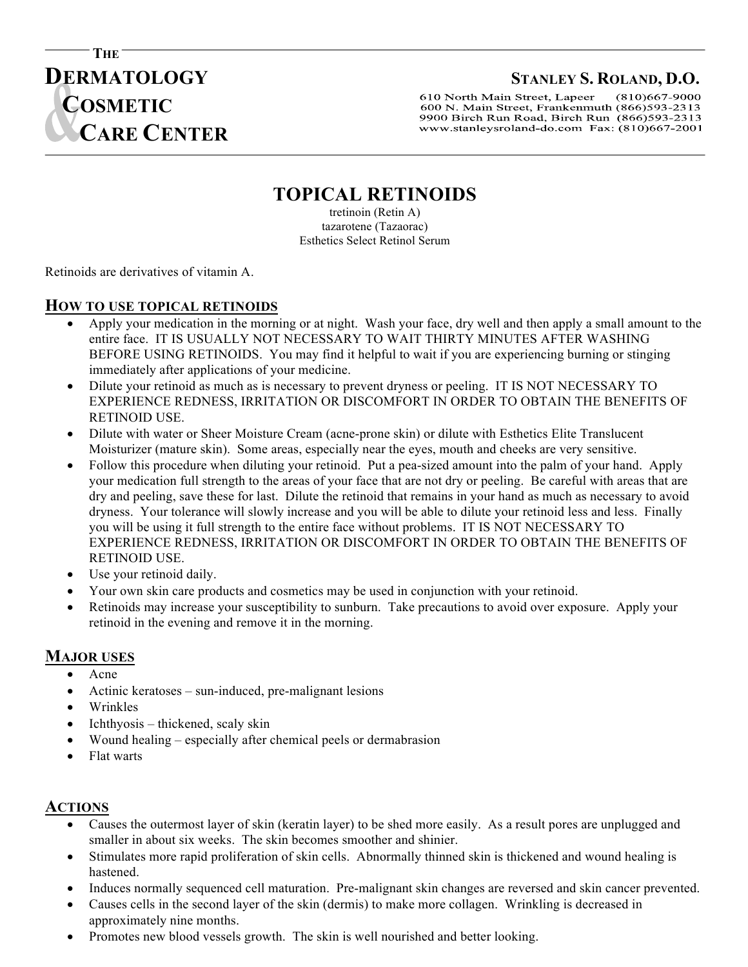# **DERMATOLOGY STANLEY S. ROLAND, D.O.**

 $(810)667 - 9000$ 610 North Main Street, Lapeer 600 N. Main Street, Frankenmuth (866)593-2313 9900 Birch Run Road, Birch Run (866)593-2313 www.stanleysroland-do.com Fax: (810)667-2001

### **TOPICAL RETINOIDS**

j

tretinoin (Retin A) tazarotene (Tazaorac) Esthetics Select Retinol Serum

Retinoids are derivatives of vitamin A. **T**

 **CARE CENTER**

**THE** 

**C** 

**COSMETIC**

## **HOW TO USE TOPICAL RETINOIDS I**

- Apply your medication in the morning or at night. Wash your face, dry well and then apply a small amount to the Entire face. IT IS USUALLY NOT NECESSARY TO WAIT THIRTY MINUTES AFTER WASHING BEFORE USING RETINOIDS. You may find it helpful to wait if you are experiencing burning or stinging immediately after applications of your medicine.
	- Dilute your retinoid as much as is necessary to prevent dryness or peeling. IT IS NOT NECESSARY TO EXPERIENCE REDNESS, IRRITATION OR DISCOMFORT IN ORDER TO OBTAIN THE BENEFITS OF RETINOID USE.
	- Dilute with water or Sheer Moisture Cream (acne-prone skin) or dilute with Esthetics Elite Translucent Moisturizer (mature skin). Some areas, especially near the eyes, mouth and cheeks are very sensitive.
	- Follow this procedure when diluting your retinoid. Put a pea-sized amount into the palm of your hand. Apply your medication full strength to the areas of your face that are not dry or peeling. Be careful with areas that are dry and peeling, save these for last. Dilute the retinoid that remains in your hand as much as necessary to avoid dryness. Your tolerance will slowly increase and you will be able to dilute your retinoid less and less. Finally you will be using it full strength to the entire face without problems. IT IS NOT NECESSARY TO EXPERIENCE REDNESS, IRRITATION OR DISCOMFORT IN ORDER TO OBTAIN THE BENEFITS OF RETINOID USE.
	- Use your retinoid daily.
	- Your own skin care products and cosmetics may be used in conjunction with your retinoid.
	- Retinoids may increase your susceptibility to sunburn. Take precautions to avoid over exposure. Apply your retinoid in the evening and remove it in the morning.

#### **MAJOR USES**

- Acne
- Actinic keratoses sun-induced, pre-malignant lesions
- Wrinkles
- Ichthyosis thickened, scaly skin
- Wound healing especially after chemical peels or dermabrasion
- Flat warts

#### **ACTIONS**

- Causes the outermost layer of skin (keratin layer) to be shed more easily. As a result pores are unplugged and smaller in about six weeks. The skin becomes smoother and shinier.
- Stimulates more rapid proliferation of skin cells. Abnormally thinned skin is thickened and wound healing is hastened.
- Induces normally sequenced cell maturation. Pre-malignant skin changes are reversed and skin cancer prevented.
- Causes cells in the second layer of the skin (dermis) to make more collagen. Wrinkling is decreased in approximately nine months.
- Promotes new blood vessels growth. The skin is well nourished and better looking.